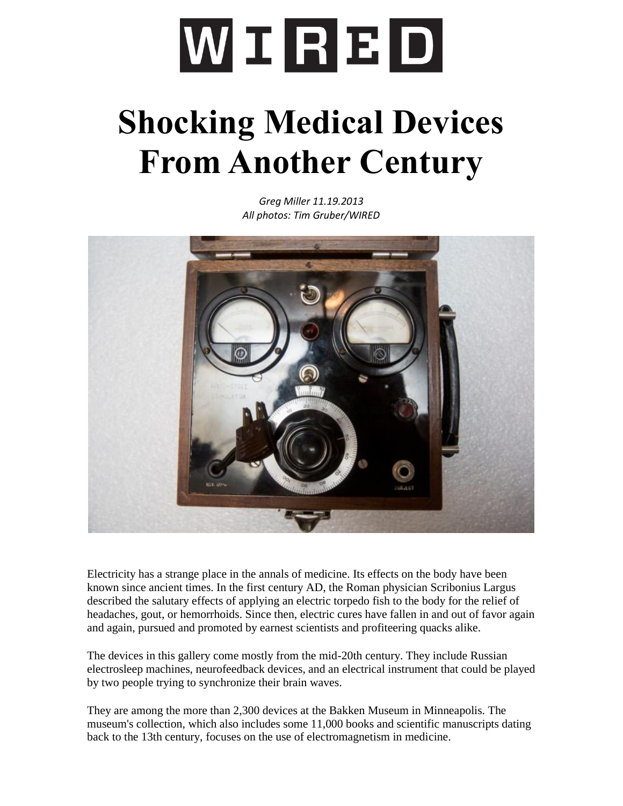## WIRED

## **Shocking Medical Devices From Another Century**

*Greg Miller 11.19.2013 All photos: Tim Gruber/WIRED*



Electricity has a strange place in the annals of medicine. Its effects on the body have been known since ancient times. In the first century AD, the Roman physician Scribonius Largus described the salutary effects of applying an electric torpedo fish to the body for the relief of headaches, gout, or hemorrhoids. Since then, electric cures have fallen in and out of favor again and again, pursued and promoted by earnest scientists and profiteering quacks alike.

The devices in this gallery come mostly from the mid-20th century. They include Russian electrosleep machines, neurofeedback devices, and an electrical instrument that could be played by two people trying to synchronize their brain waves.

They are among the more than 2,300 devices at the Bakken Museum in Minneapolis. The museum's collection, which also includes some 11,000 books and scientific manuscripts dating back to the 13th century, focuses on the use of electromagnetism in medicine.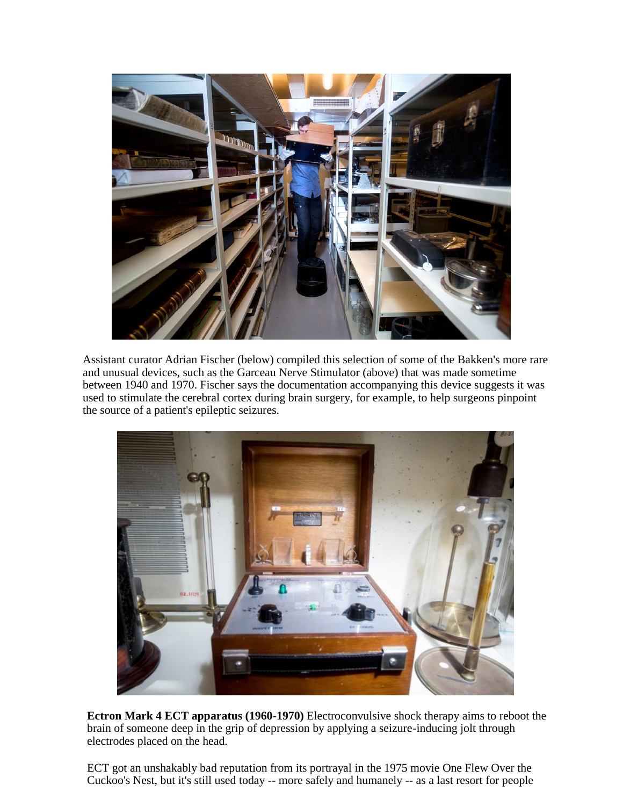

Assistant curator Adrian Fischer (below) compiled this selection of some of the Bakken's more rare and unusual devices, such as the Garceau Nerve Stimulator (above) that was made sometime between 1940 and 1970. Fischer says the documentation accompanying this device suggests it was used to stimulate the cerebral cortex during brain surgery, for example, to help surgeons pinpoint the source of a patient's epileptic seizures.



**Ectron Mark 4 ECT apparatus (1960-1970)** Electroconvulsive shock therapy aims to reboot the brain of someone deep in the grip of depression by applying a seizure-inducing jolt through electrodes placed on the head.

ECT got an unshakably bad reputation from its portrayal in the 1975 movie One Flew Over the Cuckoo's Nest, but it's still used today -- more safely and humanely -- as a last resort for people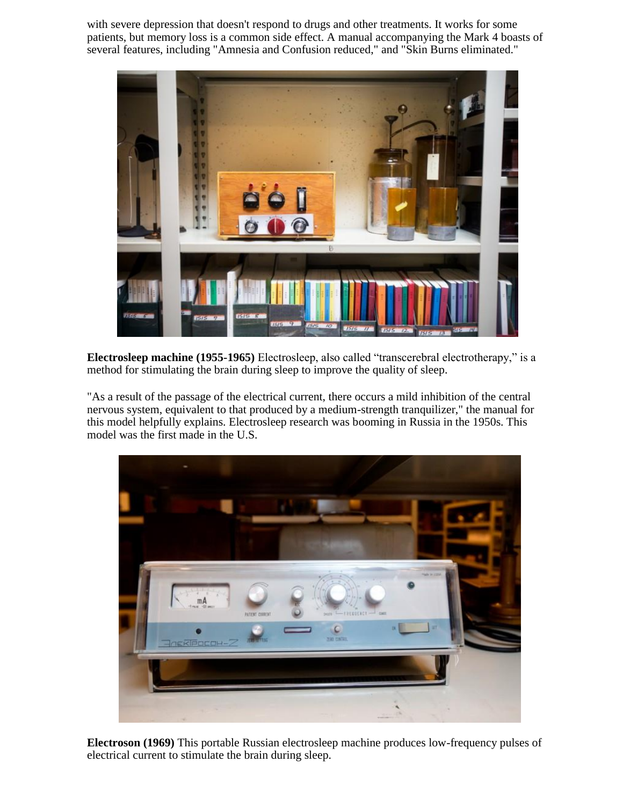with severe depression that doesn't respond to drugs and other treatments. It works for some patients, but memory loss is a common side effect. A manual accompanying the Mark 4 boasts of several features, including "Amnesia and Confusion reduced," and "Skin Burns eliminated."



**Electrosleep machine (1955-1965)** Electrosleep, also called "transcerebral electrotherapy," is a method for stimulating the brain during sleep to improve the quality of sleep.

"As a result of the passage of the electrical current, there occurs a mild inhibition of the central nervous system, equivalent to that produced by a medium-strength tranquilizer," the manual for this model helpfully explains. Electrosleep research was booming in Russia in the 1950s. This model was the first made in the U.S.



**Electroson (1969)** This portable Russian electrosleep machine produces low-frequency pulses of electrical current to stimulate the brain during sleep.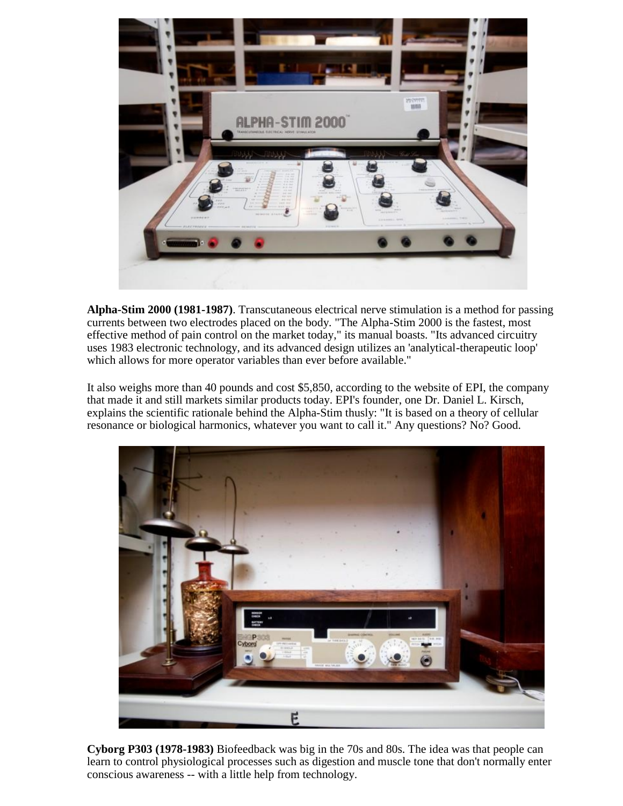

**Alpha-Stim 2000 (1981-1987)**. Transcutaneous electrical nerve stimulation is a method for passing currents between two electrodes placed on the body. "The Alpha-Stim 2000 is the fastest, most effective method of pain control on the market today," its manual boasts. "Its advanced circuitry uses 1983 electronic technology, and its advanced design utilizes an 'analytical-therapeutic loop' which allows for more operator variables than ever before available."

It also weighs more than 40 pounds and cost \$5,850, according to the website of EPI, the company that made it and still markets similar products today. EPI's founder, one Dr. Daniel L. Kirsch, explains the scientific rationale behind the Alpha-Stim thusly: "It is based on a theory of cellular resonance or biological harmonics, whatever you want to call it." Any questions? No? Good.



**Cyborg P303 (1978-1983)** Biofeedback was big in the 70s and 80s. The idea was that people can learn to control physiological processes such as digestion and muscle tone that don't normally enter conscious awareness -- with a little help from technology.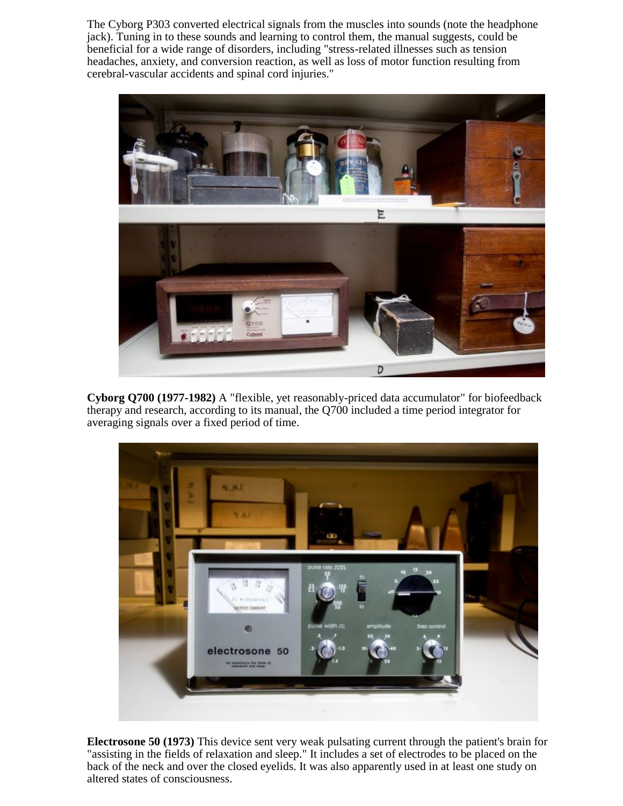The Cyborg P303 converted electrical signals from the muscles into sounds (note the headphone jack). Tuning in to these sounds and learning to control them, the manual suggests, could be beneficial for a wide range of disorders, including "stress-related illnesses such as tension headaches, anxiety, and conversion reaction, as well as loss of motor function resulting from cerebral-vascular accidents and spinal cord injuries."



**Cyborg Q700 (1977-1982)** A "flexible, yet reasonably-priced data accumulator" for biofeedback therapy and research, according to its manual, the Q700 included a time period integrator for averaging signals over a fixed period of time.



**Electrosone 50 (1973)** This device sent very weak pulsating current through the patient's brain for "assisting in the fields of relaxation and sleep." It includes a set of electrodes to be placed on the back of the neck and over the closed eyelids. It was also apparently used in at least one study on altered states of consciousness.